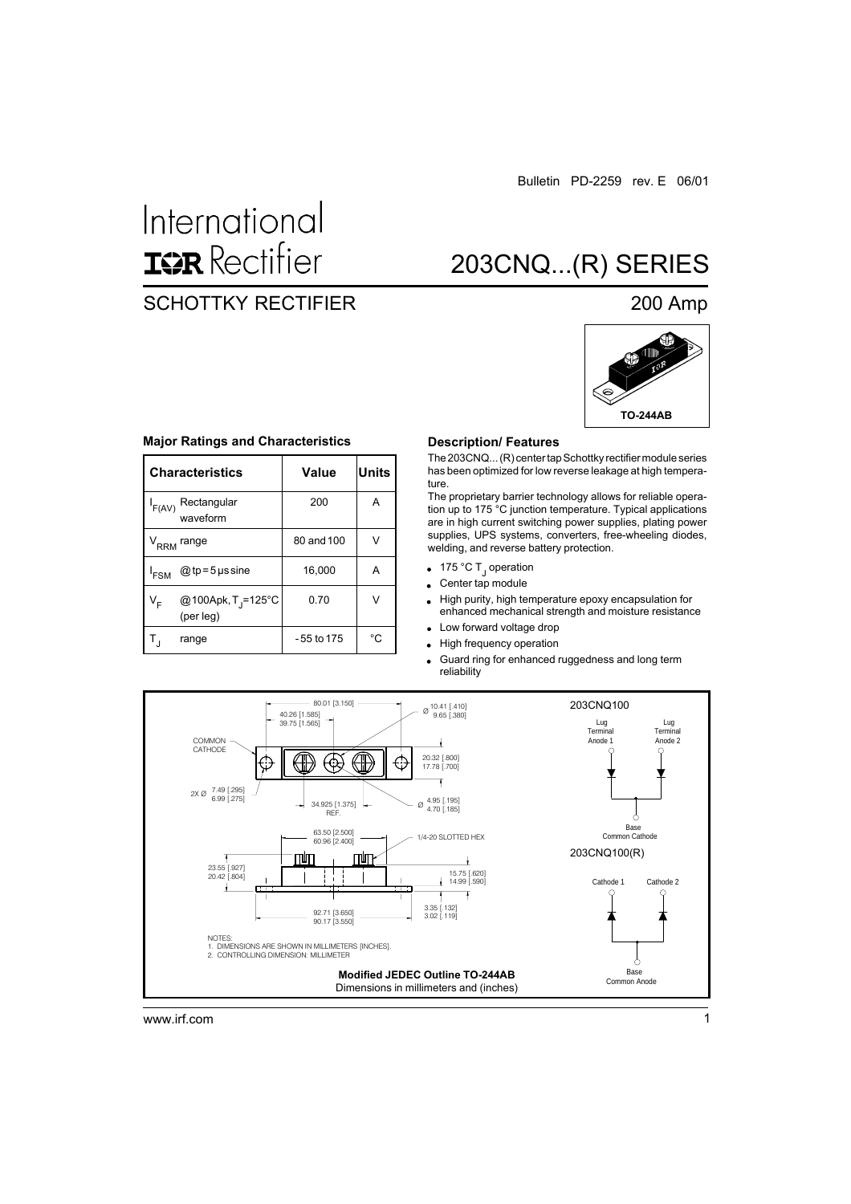# International **ISR** Rectifier

# 203CNQ...(R) SERIES

# SCHOTTKY RECTIFIER 200 Amp



#### **Major Ratings and Characteristics**

|                  | <b>Characteristics</b>                      | Value      | <b>Units</b> |
|------------------|---------------------------------------------|------------|--------------|
| F(AV)            | Rectangular<br>waveform                     | 200        | A            |
|                  | V <sub>RRM</sub> range                      | 80 and 100 | V            |
| <sup>I</sup> FSM | @ tp = $5 \mu s$ sine                       | 16,000     | А            |
| V <sub>F</sub>   | @100Apk, T <sub>j</sub> =125°C<br>(per leg) | 0.70       | V            |
|                  | range                                       | -55 to 175 | °C           |

#### **Description/ Features**

The 203CNQ... (R) center tap Schottky rectifier module series has been optimized for low reverse leakage at high temperature.

The proprietary barrier technology allows for reliable operation up to 175 °C junction temperature. Typical applications are in high current switching power supplies, plating power supplies, UPS systems, converters, free-wheeling diodes, welding, and reverse battery protection.

- 175 °C T<sub>J</sub> operation
- Center tap module  $\ddot{\phantom{0}}$
- High purity, high temperature epoxy encapsulation for  $\ddot{\phantom{0}}$ enhanced mechanical strength and moisture resistance
- Low forward voltage drop  $\bullet$
- High frequency operation  $\bullet$
- Guard ring for enhanced ruggedness and long term  $\bullet$ reliability



www.irf.com 1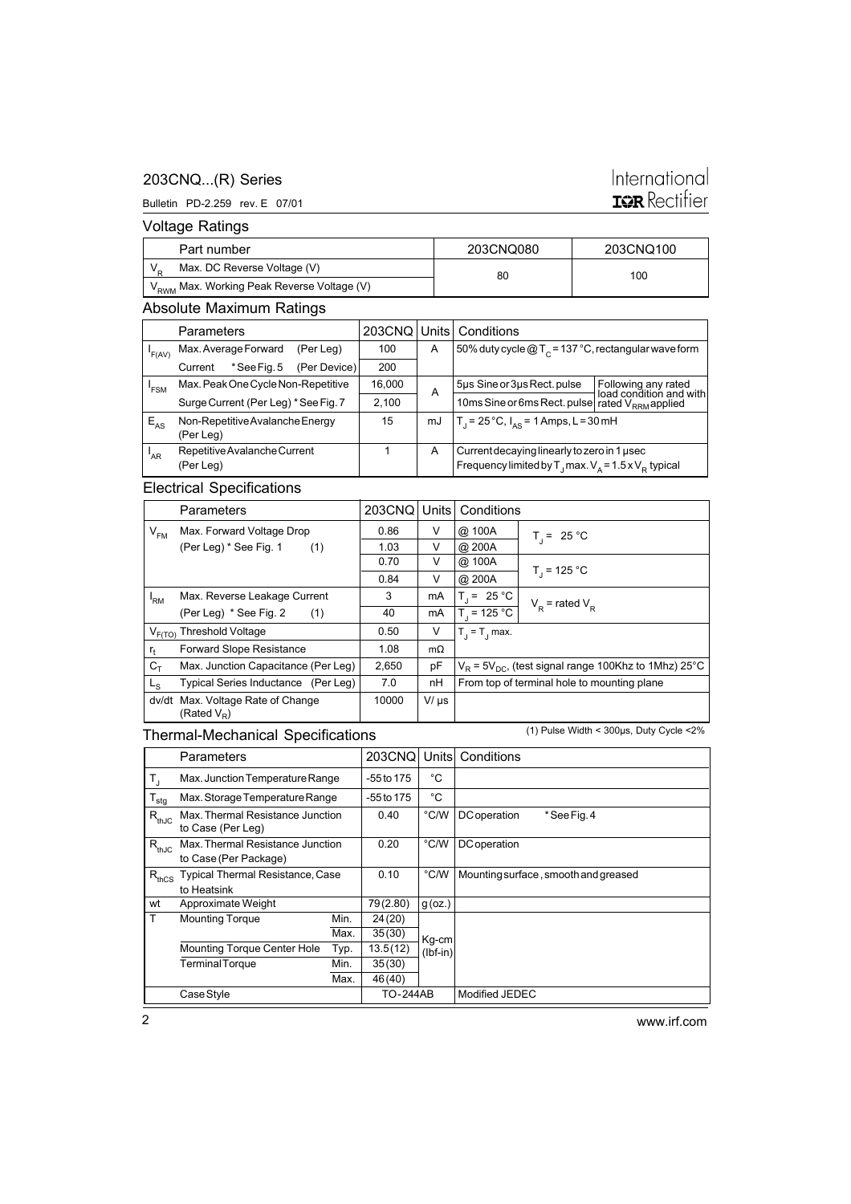### 203CNQ...(R) Series

#### Bulletin PD-2.259 rev. E 07/01

# International **ISR** Rectifier

Voltage Ratings

| Part number                                             | 203CNQ080 | 203CNQ100 |  |
|---------------------------------------------------------|-----------|-----------|--|
| Max. DC Reverse Voltage (V)                             | 80        | 100       |  |
| 'V <sub>RWM</sub> Max. Working Peak Reverse Voltage (V) |           |           |  |

# Absolute Maximum Ratings

|          | Parameters                        |                                      |              | 203CNQ | Units                                                  | Conditions                                                              |                                                |
|----------|-----------------------------------|--------------------------------------|--------------|--------|--------------------------------------------------------|-------------------------------------------------------------------------|------------------------------------------------|
| 'F(AV)   | Max. Average Forward<br>(Per Leg) |                                      | 100          | A      | 50% duty cycle $@T_c = 137 °C$ , rectangular wave form |                                                                         |                                                |
|          | Current                           | *See Fig. 5                          | (Per Device) | 200    |                                                        |                                                                         |                                                |
| 'FSM     |                                   | Max. Peak One Cycle Non-Repetitive   |              | 16,000 | A                                                      | 5µs Sine or 3µs Rect. pulse                                             | Following any rated<br>load condition and with |
|          |                                   | Surge Current (Per Leg) * See Fig. 7 |              | 2.100  |                                                        | 10ms Sine or 6ms Rect. pulse rated V <sub>RRM</sub> applied             |                                                |
| $E_{AS}$ | Non-Repetitive Avalanche Energy   |                                      | 15           | mJ     | $T_1 = 25^{\circ}C$ , $I_{AS} = 1$ Amps, L = 30 mH     |                                                                         |                                                |
|          | (Per Leg)                         |                                      |              |        |                                                        |                                                                         |                                                |
| 'AR      | Repetitive Avalanche Current      |                                      |              | A      | Current decaying linearly to zero in 1 used            |                                                                         |                                                |
|          | (Per Leg)                         |                                      |              |        |                                                        | Frequency limited by T <sub>1</sub> max. $V_A = 1.5 \times V_B$ typical |                                                |

### Electrical Specifications

|              | Parameters                                          | 203CNQ Units |           | Conditions                                                   |                                             |
|--------------|-----------------------------------------------------|--------------|-----------|--------------------------------------------------------------|---------------------------------------------|
| $V_{FM}$     | Max. Forward Voltage Drop                           | 0.86         | V         | @ 100A                                                       | $T_1 = 25 °C$                               |
|              | (Per Leg) * See Fig. 1<br>(1)                       | 1.03         | V         | @ 200A                                                       |                                             |
|              |                                                     | 0.70         | V         | @ 100A                                                       |                                             |
|              |                                                     | 0.84         | V         | @ 200A                                                       | $T_1$ = 125 °C                              |
| 'RM          | Max. Reverse Leakage Current                        | 3            | mA        | $T_1 = 25 °C$                                                | $V_p$ = rated $V_p$                         |
|              | (Per Leg) * See Fig. 2<br>(1)                       | 40           | mA        | $T_1 = 125 °C$                                               |                                             |
|              | $V_{F(TO)}$ Threshold Voltage                       | 0.50         | V         | $T_1 = T_1$ max.                                             |                                             |
| $r_{\rm{f}}$ | <b>Forward Slope Resistance</b>                     | 1.08         | $m\Omega$ |                                                              |                                             |
| $C_T$        | Max. Junction Capacitance (Per Leg)                 | 2,650        | pF        | $V_R$ = 5 $V_{DC}$ , (test signal range 100Khz to 1Mhz) 25°C |                                             |
| $L_{\rm S}$  | Typical Series Inductance (Per Leg)                 | 7.0          | nH        |                                                              | From top of terminal hole to mounting plane |
|              | dv/dt Max. Voltage Rate of Change<br>(Rated $V_R$ ) |              | $V/\mu s$ |                                                              |                                             |

### Thermal-Mechanical Specifications

(1) Pulse Width < 300µs, Duty Cycle <2%

|                  | Parameters                                                |      | 203CNQ          | Units      | Conditions                           |
|------------------|-----------------------------------------------------------|------|-----------------|------------|--------------------------------------|
| $T_{\rm J}$      | Max. Junction Temperature Range                           |      | -55 to 175      | °C         |                                      |
| $T_{\text{stg}}$ | Max. Storage Temperature Range                            |      | -55 to 175      | °C         |                                      |
| $R_{thJC}$       | Max. Thermal Resistance Junction<br>to Case (Per Leg)     |      | 0.40            | °C/W       | *See Fig. 4<br><b>DC</b> operation   |
| $R_{thJC}$       | Max. Thermal Resistance Junction<br>to Case (Per Package) |      | 0.20            | °C/W       | <b>DC</b> operation                  |
| $R_{thCS}$       | Typical Thermal Resistance, Case                          |      | 0.10            | °C/W       | Mounting surface, smooth and greased |
|                  | to Heatsink                                               |      |                 |            |                                      |
| wt               | Approximate Weight                                        |      | 79(2.80)        | $g$ (oz.)  |                                      |
| T                | <b>Mounting Torque</b>                                    | Min. | 24(20)          |            |                                      |
|                  |                                                           | Max. | 35(30)          | Kg-cm      |                                      |
|                  | Mounting Torque Center Hole                               | Typ. | 13.5(12)        | $(lbf-in)$ |                                      |
|                  | <b>Terminal Torque</b>                                    | Min. | 35(30)          |            |                                      |
|                  |                                                           | Max. | 46 (40)         |            |                                      |
|                  | Case Style                                                |      | <b>TO-244AB</b> |            | Modified JEDEC                       |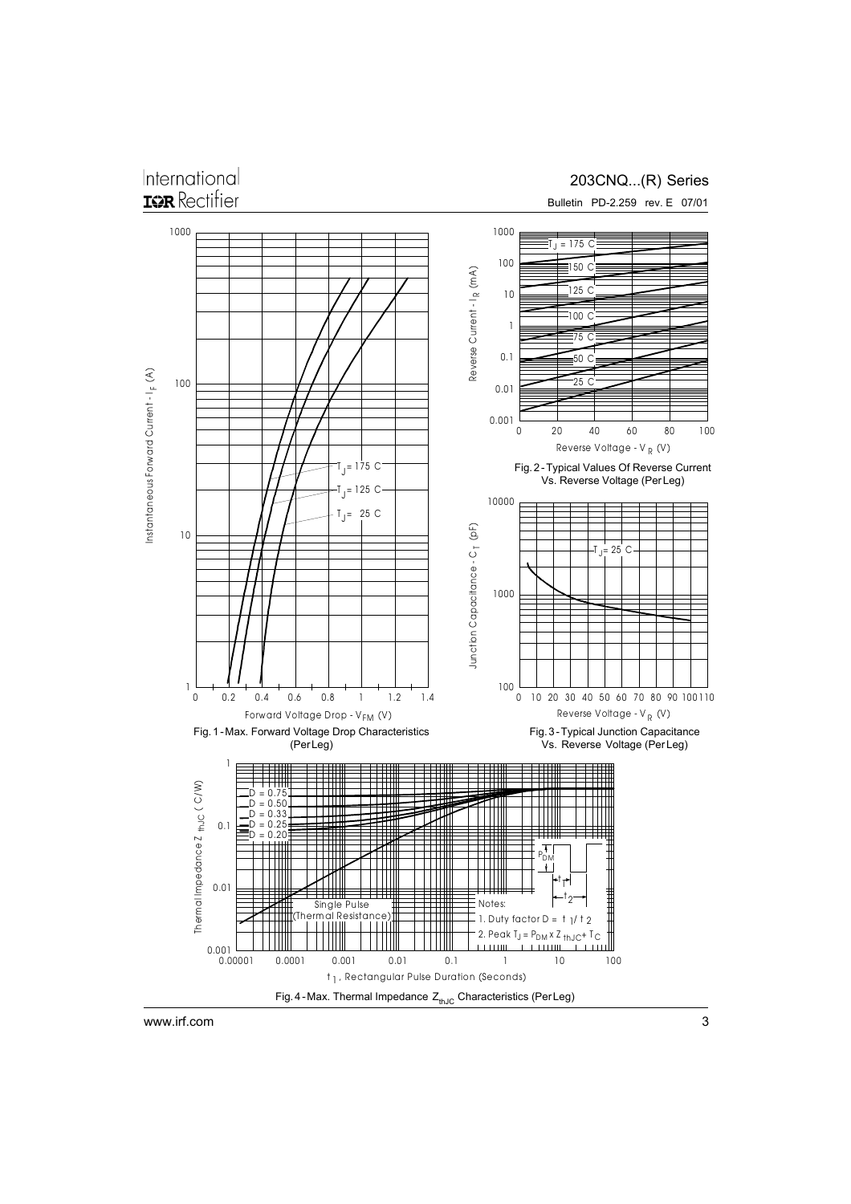# International **ISR** Rectifier

## 203CNQ...(R) Series

Bulletin PD-2.259 rev. E 07/01



www.irf.com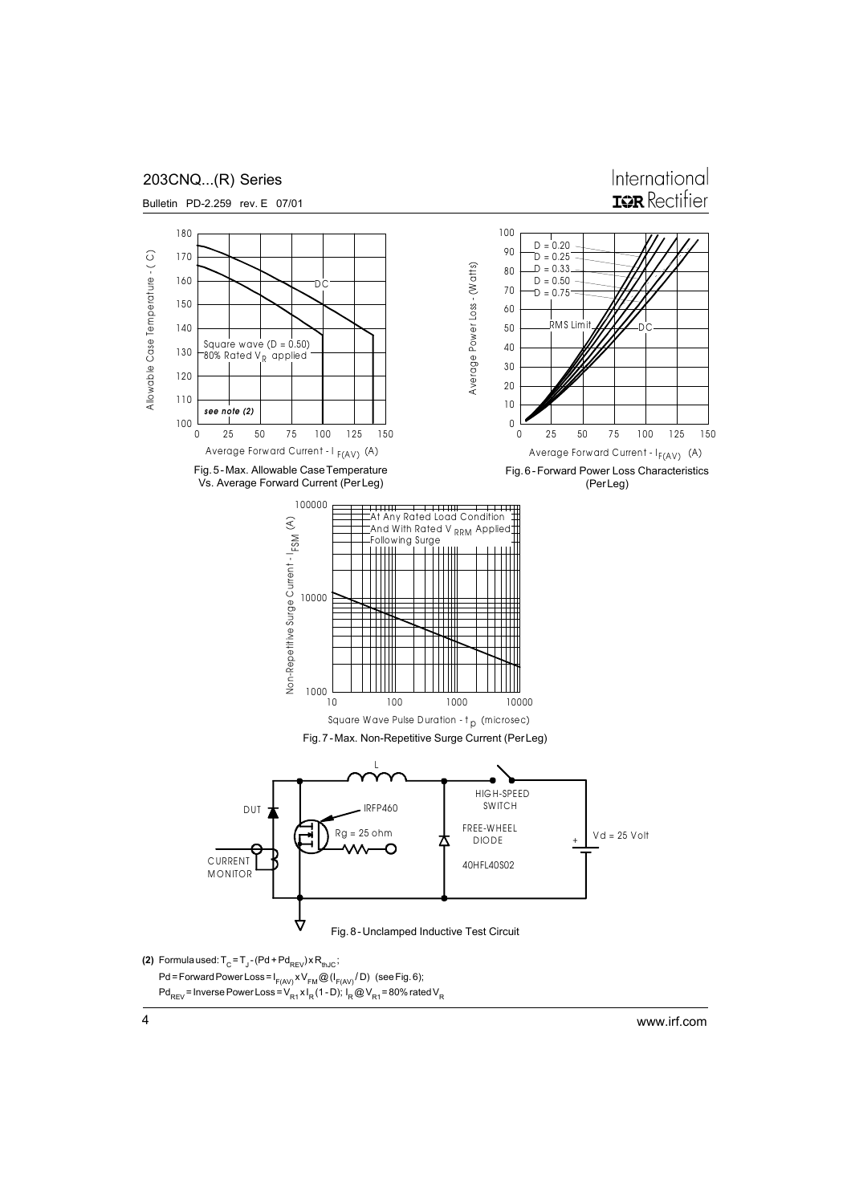